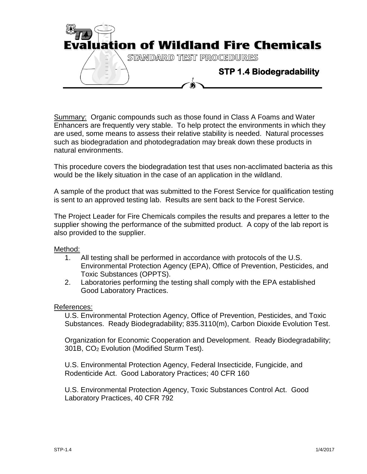

Summary: Organic compounds such as those found in Class A Foams and Water Enhancers are frequently very stable. To help protect the environments in which they are used, some means to assess their relative stability is needed. Natural processes such as biodegradation and photodegradation may break down these products in natural environments.

This procedure covers the biodegradation test that uses non-acclimated bacteria as this would be the likely situation in the case of an application in the wildland.

A sample of the product that was submitted to the Forest Service for qualification testing is sent to an approved testing lab. Results are sent back to the Forest Service.

The Project Leader for Fire Chemicals compiles the results and prepares a letter to the supplier showing the performance of the submitted product. A copy of the lab report is also provided to the supplier.

## Method:

- 1. All testing shall be performed in accordance with protocols of the U.S. Environmental Protection Agency (EPA), Office of Prevention, Pesticides, and Toxic Substances (OPPTS).
- 2. Laboratories performing the testing shall comply with the EPA established Good Laboratory Practices.

## References:

U.S. Environmental Protection Agency, Office of Prevention, Pesticides, and Toxic Substances. Ready Biodegradability; 835.3110(m), Carbon Dioxide Evolution Test.

Organization for Economic Cooperation and Development. Ready Biodegradability; 301B, CO<sup>2</sup> Evolution (Modified Sturm Test).

U.S. Environmental Protection Agency, Federal Insecticide, Fungicide, and Rodenticide Act. Good Laboratory Practices; 40 CFR 160

U.S. Environmental Protection Agency, Toxic Substances Control Act. Good Laboratory Practices, 40 CFR 792